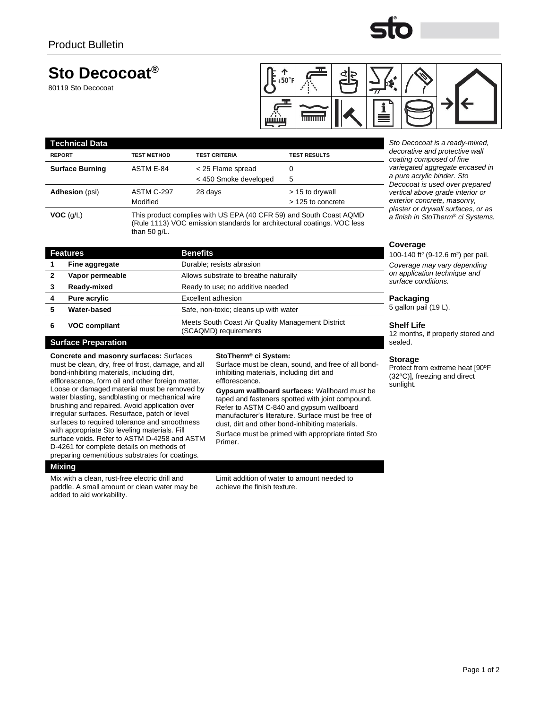

## **Sto Decocoat®**

80119 Sto Decocoat



| l echnical Data        |                    |                                                                                                                                               |                                                                        |                                                              |  |  |
|------------------------|--------------------|-----------------------------------------------------------------------------------------------------------------------------------------------|------------------------------------------------------------------------|--------------------------------------------------------------|--|--|
| <b>REPORT</b>          | <b>TEST METHOD</b> | <b>TEST CRITERIA</b>                                                                                                                          | <b>TEST RESULTS</b>                                                    | decorative and protective wall<br>coating composed of fine   |  |  |
| <b>Surface Burning</b> | ASTM E-84          | < 25 Flame spread                                                                                                                             |                                                                        | variegated aggregate encased in                              |  |  |
|                        |                    | < 450 Smoke developed                                                                                                                         | 5                                                                      | a pure acrylic binder. Sto<br>Decocoat is used over prepared |  |  |
| <b>Adhesion</b> (psi)  | ASTM C-297         | 28 days                                                                                                                                       | > 15 to drywall                                                        | vertical above grade interior or                             |  |  |
|                        | Modified           |                                                                                                                                               | > 125 to concrete                                                      | exterior concrete, masonry,                                  |  |  |
| VOC(q/L)               | than 50 $q/L$ .    | This product complies with US EPA (40 CFR 59) and South Coast AQMD<br>(Rule 1113) VOC emission standards for architectural coatings. VOC less | plaster or drywall surfaces, or as<br>a finish in StoTherm® ci Systems |                                                              |  |  |

| <b>Features</b>      | <b>Benefits</b>                                                            |   |
|----------------------|----------------------------------------------------------------------------|---|
| Fine aggregate       | Durable; resists abrasion                                                  |   |
| Vapor permeable      | Allows substrate to breathe naturally                                      |   |
| Ready-mixed          | Ready to use; no additive needed                                           |   |
| Pure acrylic         | Excellent adhesion                                                         |   |
| <b>Water-based</b>   | Safe, non-toxic; cleans up with water                                      | 5 |
| <b>VOC compliant</b> | Meets South Coast Air Quality Management District<br>(SCAQMD) requirements |   |

#### **Surface Preparation**

**Concrete and masonry surfaces:** Surfaces must be clean, dry, free of frost, damage, and all bond-inhibiting materials, including dirt, efflorescence, form oil and other foreign matter. Loose or damaged material must be removed by water blasting, sandblasting or mechanical wire brushing and repaired. Avoid application over irregular surfaces. Resurface, patch or level surfaces to required tolerance and smoothness with appropriate Sto leveling materials. Fill surface voids. Refer to ASTM D-4258 and ASTM D-4261 for complete details on methods of preparing cementitious substrates for coatings.

#### **Mixing**

Mix with a clean, rust-free electric drill and paddle. A small amount or clean water may be added to aid workability.

inhibiting materials, including dirt and efflorescence.

**StoTherm***®* **ci System:**

**Gypsum wallboard surfaces:** Wallboard must be taped and fasteners spotted with joint compound. Refer to ASTM C-840 and gypsum wallboard manufacturer's literature. Surface must be free of dust, dirt and other bond-inhibiting materials. Surface must be primed with appropriate tinted Sto

Surface must be clean, sound, and free of all bond-

Primer.

Limit addition of water to amount needed to achieve the finish texture.

### **Coverage**

100-140 ft² (9-12.6 m²) per pail. *Coverage may vary depending on application technique and surface conditions.*

Sto Decocoat is a ready-mixed, *decorative and protective wall* 

#### **Packaging**

gallon pail (19 L).

#### **Shelf Life**

12 months, if properly stored and sealed.

#### **Storage**

Protect from extreme heat [90ºF (32ºC)], freezing and direct sunlight.